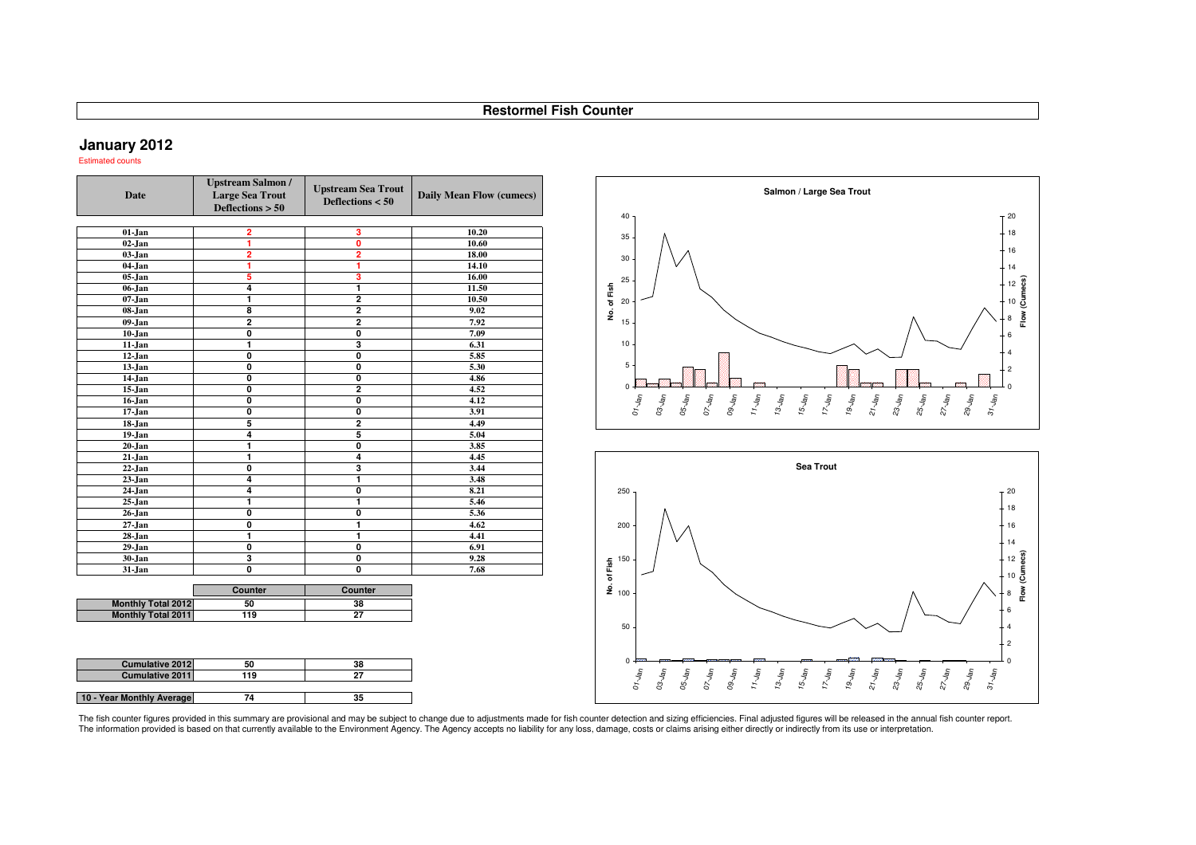### **January 2012**

**10 - Year Monthly Average**

Estimated counts

| <b>Date</b>               | <b>Upstream Salmon /</b><br><b>Large Sea Trout</b><br>Deflections $> 50$ | <b>Upstream Sea Trout</b><br>Deflections $< 50$ | Daily Mean Flow (cumecs) |
|---------------------------|--------------------------------------------------------------------------|-------------------------------------------------|--------------------------|
| $01-Jan$                  | 2                                                                        | 3                                               | 10.20                    |
| $02$ -Jan                 | 1                                                                        | 0                                               | 10.60                    |
| $03-Jan$                  | $\overline{\mathbf{2}}$                                                  | $\overline{2}$                                  | 18.00                    |
| 04-Jan                    | ī                                                                        | 1                                               | 14.10                    |
| 05-Jan                    | 5                                                                        | 3                                               | 16.00                    |
| 06-Jan                    | $\overline{4}$                                                           | 1                                               | 11.50                    |
| $07 - Jan$                | 1                                                                        | $\overline{\mathbf{2}}$                         | 10.50                    |
| 08-Jan                    | 8                                                                        | $\overline{\mathbf{2}}$                         | 9.02                     |
| $09-Jan$                  | $\overline{2}$                                                           | $\overline{2}$                                  | 7.92                     |
| $10 - Jan$                | ō                                                                        | Ō                                               | 7.09                     |
| 11-Jan                    | $\blacksquare$                                                           | 3                                               | 6.31                     |
| 12-Jan                    | $\overline{\mathbf{0}}$                                                  | $\overline{\mathbf{0}}$                         | 5.85                     |
| 13-Jan                    | ō                                                                        | Ō                                               | 5.30                     |
| $14$ -Jan                 | 0                                                                        | 0                                               | 4.86                     |
| 15-Jan                    | $\overline{\mathbf{0}}$                                                  | $\overline{2}$                                  | 4.52                     |
| 16-Jan                    | O                                                                        | O                                               | 4.12                     |
| 17-Jan                    | O                                                                        | 0                                               | 3.91                     |
| 18-Jan                    | 5                                                                        | 2                                               | 4.49                     |
| 19-Jan                    | 4                                                                        | 5                                               | 5.04                     |
| 20-Jan                    | 1                                                                        | Ō                                               | 3.85                     |
| 21-Jan                    | $\blacksquare$                                                           | $\overline{\mathbf{4}}$                         | 4.45                     |
| 22-Jan                    | O                                                                        | 3                                               | 3.44                     |
| 23-Jan                    | 4                                                                        | 1                                               | 3.48                     |
| 24-Jan                    | $\overline{4}$                                                           | Ō                                               | 8.21                     |
| $25 - Jan$                | 1                                                                        | 1                                               | 5.46                     |
| 26-Jan                    | O                                                                        | 0                                               | 5.36                     |
| $27 - Jan$                | Ō                                                                        | 1                                               | 4.62                     |
| 28-Jan                    | ī                                                                        | 1                                               | 4.41                     |
| 29-Jan                    | Ō                                                                        | Ō                                               | 6.91                     |
| 30-Jan                    | $\overline{\mathbf{3}}$                                                  | O                                               | 9.28                     |
| 31-Jan                    | Ō                                                                        | Ō                                               | 7.68                     |
|                           | Counter                                                                  | Counter                                         |                          |
| <b>Monthly Total 2012</b> | 50                                                                       | 38                                              |                          |
| <b>Monthly Total 2011</b> | 119                                                                      | $\overline{27}$                                 |                          |
|                           |                                                                          |                                                 |                          |
| <b>Cumulative 2012</b>    | 50                                                                       | 38                                              |                          |
| Cumulative 2011           | 119                                                                      | 27                                              |                          |

**<sup>119</sup> <sup>27</sup>**

**<sup>35</sup>**

**<sup>74</sup>**

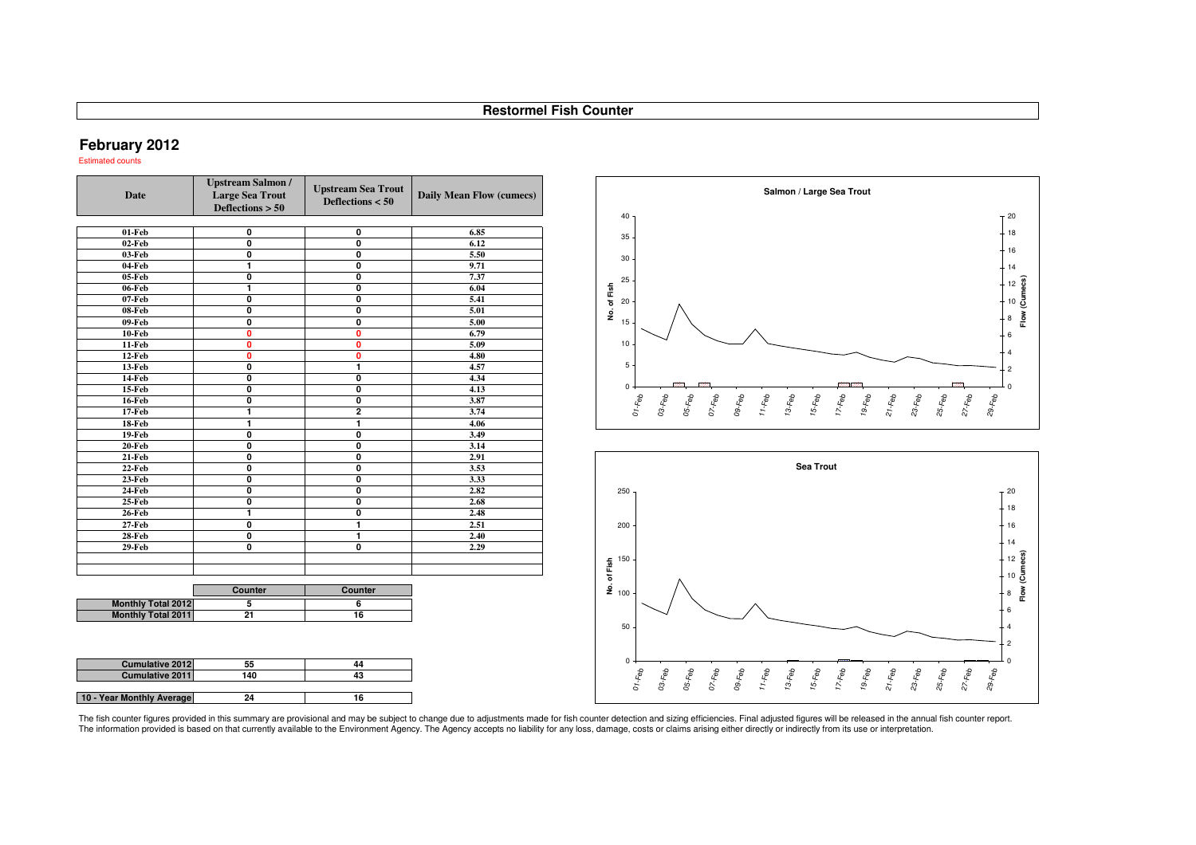### **February 2012**

**10 - Year Monthly Average**

Estimated counts

| <b>Upstream Salmon /</b><br><b>Large Sea Trout</b><br><b>Date</b><br>Deflections $> 50$ |                           | <b>Upstream Sea Trout</b><br>Deflections $< 50$ | Daily Mean Flow (cumecs) |  |
|-----------------------------------------------------------------------------------------|---------------------------|-------------------------------------------------|--------------------------|--|
| $01$ -Feb                                                                               | $\overline{\mathbf{0}}$   | $\overline{\mathbf{0}}$                         | 6.85                     |  |
| $02$ -Feb                                                                               | $\overline{\mathbf{0}}$   | $\overline{\mathbf{0}}$                         | 6.12                     |  |
| $03$ -Feb                                                                               | $\mathbf{0}$              | 0                                               | 5.50                     |  |
| $04$ -Feb                                                                               | 1                         | $\overline{\mathbf{0}}$                         | 9.71                     |  |
| $05$ -Feb                                                                               | 0                         | 0                                               | 7.37                     |  |
| 06-Feb                                                                                  | 1                         | $\overline{\mathbf{0}}$                         | 6.04                     |  |
| $07$ -Feb                                                                               | $\overline{\mathbf{0}}$   | $\overline{\mathbf{0}}$                         | 5.41                     |  |
| 08-Feb                                                                                  | 0                         | 0                                               | 5.01                     |  |
| $09$ -Feb                                                                               | 0                         | $\overline{\mathbf{0}}$                         | 5.00                     |  |
| $10$ -Feb                                                                               | $\overline{\mathbf{0}}$   | 0                                               | 6.79                     |  |
| $11$ -Feb                                                                               | 0                         | 0                                               | 5.09                     |  |
| 12-Feb                                                                                  | $\mathbf{0}$              | $\mathbf{0}$                                    | 4.80                     |  |
| $13$ -Feb                                                                               | $\overline{\mathbf{0}}$   | 1                                               | 4.57                     |  |
| <b>14-Feb</b>                                                                           | 0                         | 0                                               | 4.34                     |  |
| $15$ -Feb                                                                               | $\overline{\mathbf{0}}$   | $\overline{\mathbf{0}}$                         | 4.13                     |  |
| <b>16-Feb</b>                                                                           | $\overline{\mathbf{0}}$   | $\overline{\mathbf{0}}$                         | 3.87                     |  |
| <b>17-Feb</b>                                                                           | 1                         | $\overline{2}$                                  | 3.74                     |  |
| $18$ -Feb                                                                               | 1                         | 1                                               | 4.06                     |  |
| $19$ -Feb                                                                               | $\overline{\mathfrak{o}}$ | $\overline{\mathfrak{o}}$                       | 3.49                     |  |
| $20$ -Feb                                                                               | 0                         | $\overline{\mathbf{0}}$                         | 3.14                     |  |
| $21$ -Feb                                                                               | $\mathbf{0}$              | $\mathbf{0}$                                    | 2.91                     |  |
| $22$ -Feb                                                                               | $\overline{\mathbf{0}}$   | $\overline{\mathbf{0}}$                         | 3.53                     |  |
| $23$ -Feb                                                                               | 0                         | 0                                               | 3.33                     |  |
| <b>24-Feb</b>                                                                           | $\overline{\mathbf{0}}$   | $\overline{\mathbf{0}}$                         | 2.82                     |  |
| $25$ -Feb                                                                               | $\overline{\mathbf{0}}$   | $\overline{\mathbf{0}}$                         | 2.68                     |  |
| <b>26-Feb</b>                                                                           | 1                         | 0                                               | 2.48                     |  |
| $27$ -Feb                                                                               | 0                         | 1                                               | 2.51                     |  |
| $28$ -Feb                                                                               | $\overline{\mathfrak{o}}$ | $\overline{1}$                                  | 2.40                     |  |
| $29$ -Feb                                                                               | 0                         | $\overline{\mathbf{0}}$                         | 2.29                     |  |
|                                                                                         | Counter                   | Counter                                         |                          |  |
| <b>Monthly Total 2012</b>                                                               | 5                         | $\overline{6}$                                  |                          |  |
| <b>Monthly Total 2011</b>                                                               | 21                        | 16                                              |                          |  |
|                                                                                         |                           |                                                 |                          |  |
| <b>Cumulative 2012</b>                                                                  | 55                        | 44                                              |                          |  |
| Cumulative 2011                                                                         | 140                       | 43                                              |                          |  |

**<sup>16</sup>**

**<sup>140</sup> <sup>43</sup>**

**<sup>24</sup>**

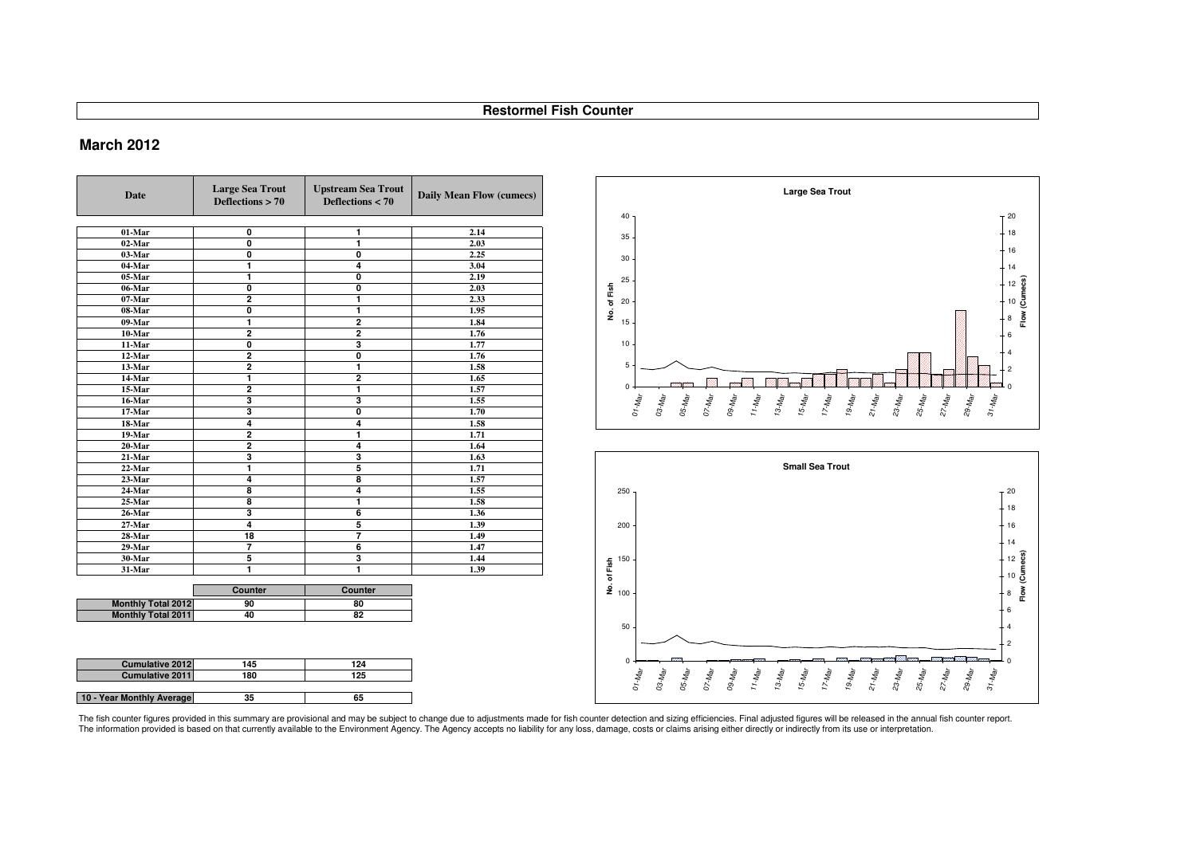# **March 2012**

**Cumulative 2012**

**Cumulative 2011**

**10 - Year Monthly Average**

**<sup>145</sup>**

**<sup>35</sup>**

**<sup>180</sup> <sup>125</sup>**

| <b>Date</b>               | <b>Large Sea Trout</b><br>Deflections $> 70$ | <b>Upstream Sea Trout</b><br>Deflections $< 70$ | Daily Mean Flow (cumecs) |
|---------------------------|----------------------------------------------|-------------------------------------------------|--------------------------|
| $01-Mar$                  | $\mathbf 0$                                  | 1                                               | 2.14                     |
| $02$ -Mar                 | $\overline{\mathbf{0}}$                      | ī                                               | 2.03                     |
| 03-Mar                    | Ō                                            | $\overline{\mathbf{0}}$                         | 2.25                     |
| 04-Mar                    | 1                                            | $\overline{\mathbf{4}}$                         | 3.04                     |
| 05-Mar                    | 1                                            | $\overline{\mathbf{0}}$                         | 2.19                     |
| 06-Mar                    | $\mathbf 0$                                  | $\mathbf 0$                                     | 2.03                     |
| 07-Mar                    | $\overline{2}$                               | 1                                               | 2.33                     |
| 08-Mar                    | $\overline{\mathbf{0}}$                      | 1                                               | 1.95                     |
| 09-Mar                    | 1                                            | $\overline{2}$                                  | 1.84                     |
| 10-Mar                    | $\overline{2}$                               | $\overline{2}$                                  | 1.76                     |
| 11-Mar                    | $\mathbf 0$                                  | 3                                               | 1.77                     |
| 12-Mar                    | $\overline{2}$                               | $\overline{\mathbf{0}}$                         | 1.76                     |
| 13-Mar                    | $\overline{2}$                               | 1                                               | 1.58                     |
| 14-Mar                    | 1                                            | $\overline{2}$                                  | 1.65                     |
| 15-Mar                    | 2                                            | 1                                               | 1.57                     |
| 16-Mar                    | 3                                            | 3                                               | 1.55                     |
| 17-Mar                    | 3                                            | $\overline{\mathbf{0}}$                         | 1.70                     |
| 18-Mar                    | 4                                            | 4                                               | 1.58                     |
| 19-Mar                    | $\overline{2}$                               | 1                                               | 1.71                     |
| 20-Mar                    | $\overline{\mathbf{2}}$                      | $\overline{\mathbf{4}}$                         | 1.64                     |
| 21-Mar                    | 3                                            | 3                                               | 1.63                     |
| 22-Mar                    | 1                                            | $\overline{5}$                                  | 1.71                     |
| 23-Mar                    | 4                                            | $\overline{\mathbf{8}}$                         | 1.57                     |
| 24-Mar                    | 8                                            | 4                                               | 1.55                     |
| 25-Mar                    | 8                                            | 1                                               | 1.58                     |
| 26-Mar                    | 3                                            | 6                                               | 1.36                     |
| 27-Mar                    | $\overline{\mathbf{4}}$                      | $\overline{5}$                                  | 1.39                     |
| 28-Mar                    | 18                                           | 7                                               | 1.49                     |
| 29-Mar                    | $\overline{7}$                               | 6                                               | 1.47                     |
| 30-Mar                    | 5                                            | 3                                               | 1.44                     |
| 31-Mar                    | 1                                            | 1                                               | 1.39                     |
|                           | Counter                                      | Counter                                         |                          |
| <b>Monthly Total 2012</b> | 90                                           | 80                                              |                          |
| <b>Monthly Total 2011</b> | 40                                           | 82                                              |                          |

**<sup>124</sup>**

**<sup>65</sup>**

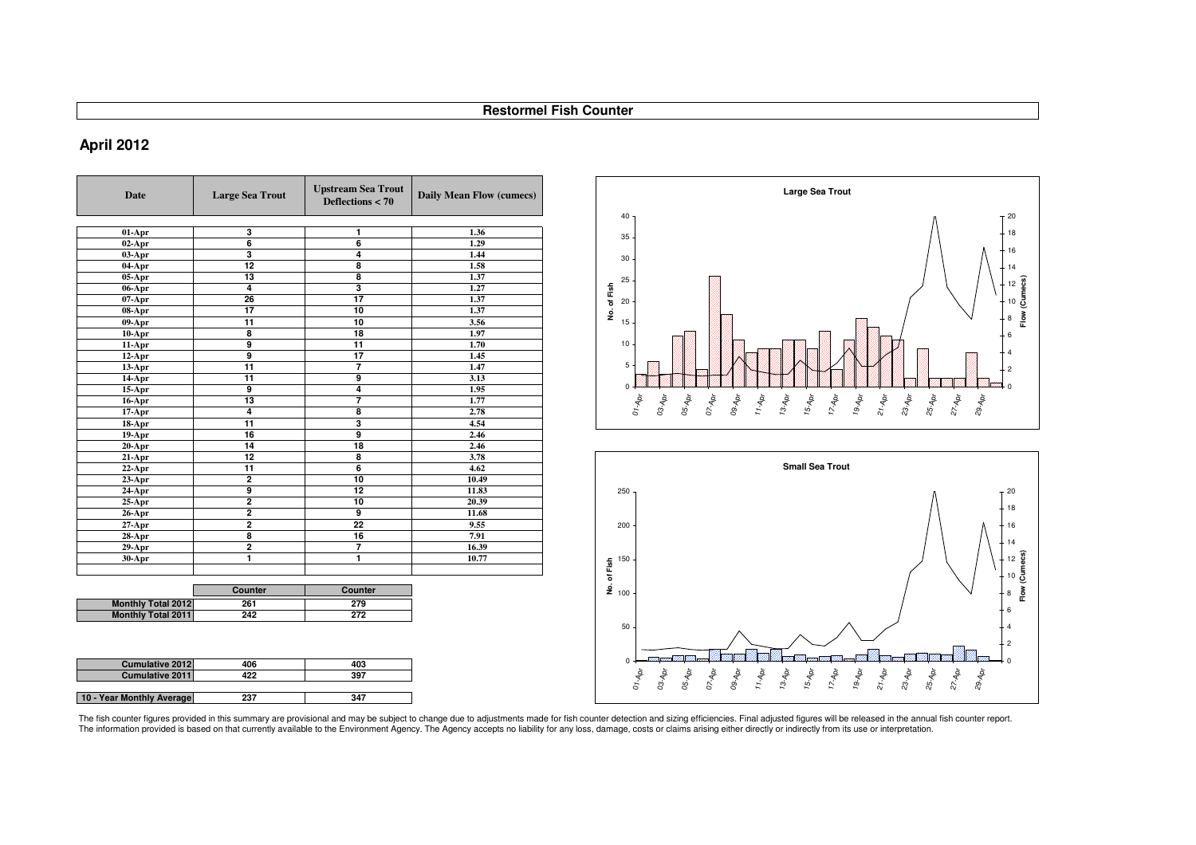# **April 2012**

| <b>Date</b>               | <b>Large Sea Trout</b> | <b>Upstream Sea Trout</b><br>Deflections < 70 | <b>Daily Mean Flow (cumecs)</b> |
|---------------------------|------------------------|-----------------------------------------------|---------------------------------|
|                           |                        |                                               |                                 |
| $01-Apr$                  | 3                      | 1                                             | 1.36                            |
| $02-Apr$                  | $\overline{6}$         | 6                                             | 1.29                            |
| $03-Apr$                  | 3                      | 4                                             | 1.44                            |
| 04-Apr                    | 12                     | 8                                             | 1.58                            |
| $05-Apr$                  | 13                     | 8                                             | 1.37                            |
| 06-Apr                    | 4                      | 3                                             | 1.27                            |
| $07-Apr$                  | 26                     | $\overline{17}$                               | 1.37                            |
| 08-Apr                    | 17                     | 10                                            | 1.37                            |
| $09-Apr$                  | 11                     | 10                                            | 3.56                            |
| $10-Apr$                  | 8                      | 18                                            | 1.97                            |
| 11-Apr                    | 9                      | 11                                            | 1.70                            |
| $12-Apr$                  | $\overline{9}$         | 17                                            | 1.45                            |
| $13-Apr$                  | 11                     | 7                                             | 1.47                            |
| $14-Apr$                  | 11                     | 9                                             | 3.13                            |
| $15-Apr$                  | 9                      | 4                                             | 1.95                            |
| $16-Apr$                  | 13                     | 7                                             | 1.77                            |
| $17-Apr$                  | 4                      | 8                                             | 2.78                            |
| 18-Apr                    | 11                     | $\overline{\mathbf{3}}$                       | 4.54                            |
| $19-Apr$                  | 16                     | 9                                             | 2.46                            |
| $20-Apr$                  | 14                     | 18                                            | 2.46                            |
| $21-Apr$                  | 12                     | 8                                             | 3.78                            |
| $22-Apr$                  | 11                     | $\overline{6}$                                | 4.62                            |
| $23-Apr$                  | $\overline{2}$         | $\overline{10}$                               | 10.49                           |
| 24-Apr                    | 9                      | 12                                            | 11.83                           |
| $25-Apr$                  | $\overline{2}$         | 10                                            | 20.39                           |
| $26$ -Apr                 | $\overline{2}$         | 9                                             | 11.68                           |
| $27-Apr$                  | $\overline{2}$         | 22                                            | 9.55                            |
| $28-Apr$                  | 8                      | 16                                            | 7.91                            |
| $29-Apr$                  | $\overline{2}$         | 7                                             | 16.39                           |
| 30-Apr                    | ī                      | 1                                             | 10.77                           |
|                           |                        |                                               |                                 |
|                           | Counter                | Counter                                       |                                 |
| <b>Monthly Total 2012</b> | 261                    | 279                                           |                                 |
| <b>Monthly Total 2011</b> | 242                    | 272                                           |                                 |
|                           |                        |                                               |                                 |
|                           |                        |                                               |                                 |

| <b>Cumulative 2012</b>    | 406 | 403 |
|---------------------------|-----|-----|
| <b>Cumulative 2011</b>    | 422 | 397 |
|                           |     |     |
| 10 - Year Monthly Average | 237 | 347 |

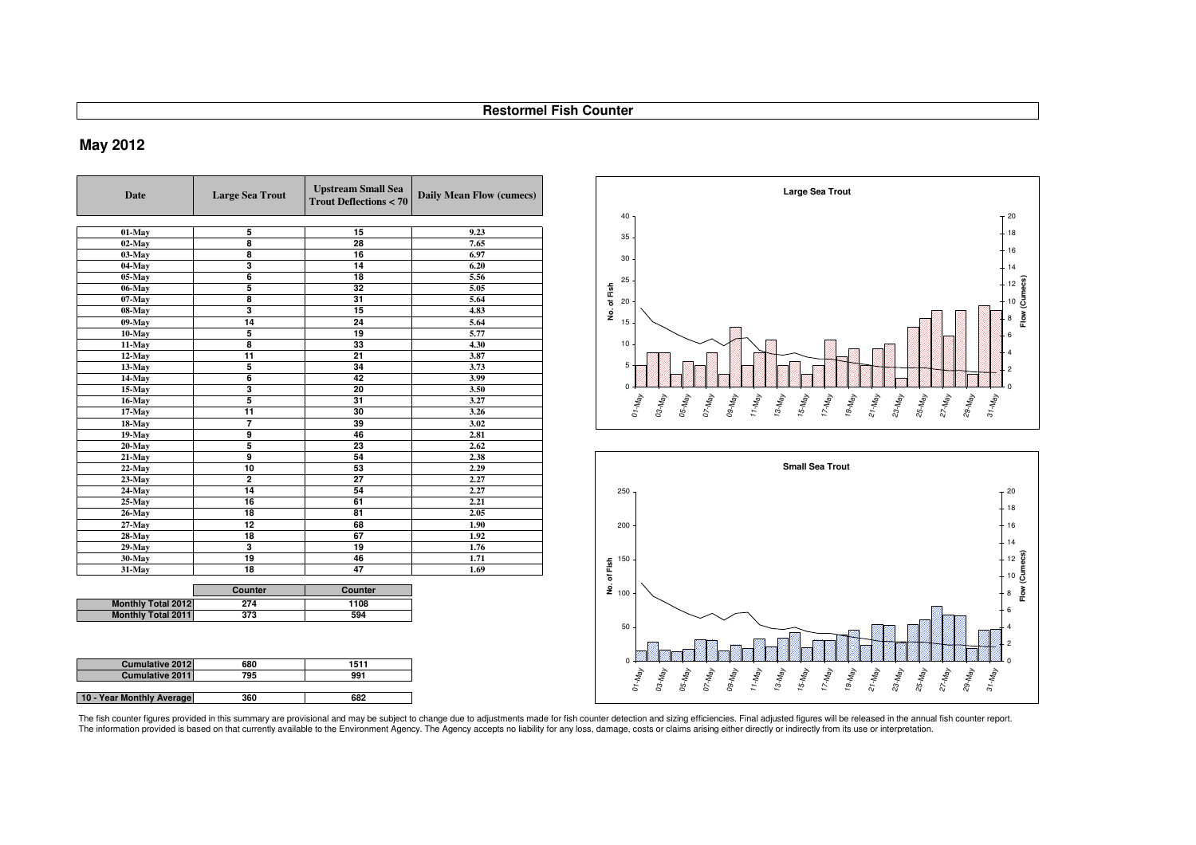# **May 2012**

| Date                      | <b>Large Sea Trout</b>  | <b>Upstream Small Sea</b><br><b>Trout Deflections &lt; 70</b> | Daily Mean Flow (cumecs) |
|---------------------------|-------------------------|---------------------------------------------------------------|--------------------------|
|                           |                         |                                                               |                          |
| 01-May                    | 5<br>8                  | 15<br>28                                                      | 9.23<br>7.65             |
| $02$ -May                 | 8                       | 16                                                            |                          |
| $03-Mav$                  | 3                       | 14                                                            | 6.97                     |
| 04-May                    |                         |                                                               | 6.20                     |
| $05$ -May                 | 6<br>5                  | 18<br>32                                                      | 5.56<br>5.05             |
| 06-May                    | 8                       | 31                                                            |                          |
| $07$ -May                 | $\overline{\mathbf{3}}$ | 15                                                            | 5.64                     |
| 08-May                    | 14                      | 24                                                            | 4.83                     |
| 09-May                    |                         |                                                               | 5.64                     |
| $10-Mav$                  | 5                       | 19                                                            | 5.77                     |
| 11-May                    | 8                       | 33                                                            | 4.30                     |
| 12-May                    | 11                      | 21                                                            | 3.87                     |
| 13-May                    | 5                       | 34                                                            | 3.73                     |
| 14-May                    | 6                       | 42                                                            | 3.99                     |
| 15-May                    | $\overline{\mathbf{3}}$ | 20                                                            | 3.50                     |
| 16-May                    | 5                       | 31                                                            | 3.27                     |
| 17-May                    | 11                      | 30                                                            | 3.26                     |
| 18-May                    | 7                       | 39                                                            | 3.02                     |
| $19$ -May                 | $\overline{9}$          | 46                                                            | 2.81                     |
| $20$ -May                 | 5                       | 23                                                            | 2.62                     |
| 21-May                    | 9                       | 54                                                            | 2.38                     |
| $22$ -May                 | 10                      | 53                                                            | 2.29                     |
| $23$ -May                 | $\overline{2}$          | $\overline{27}$                                               | 2.27                     |
| 24-May                    | 14                      | 54                                                            | 2.27                     |
| $25$ -May                 | 16                      | 61                                                            | 2.21                     |
| 26-May                    | 18                      | 81                                                            | 2.05                     |
| 27 May                    | 12                      | 68                                                            | 1.90                     |
| 28-May                    | 18                      | 67                                                            | 1.92                     |
| 29-May                    | $\overline{\mathbf{3}}$ | 19                                                            | 1.76                     |
| 30-May                    | 19                      | 46                                                            | 1.71                     |
| 31-May                    | 18                      | 47                                                            | 1.69                     |
|                           | Counter                 | Counter                                                       |                          |
| <b>Monthly Total 2012</b> | 274                     | 1108                                                          |                          |
| <b>Monthly Total 2011</b> | 373                     | 594                                                           |                          |
|                           |                         |                                                               |                          |

| <b>Cumulative 2012</b>    | 680 | 1511 |
|---------------------------|-----|------|
| <b>Cumulative 2011</b>    | 795 | 991  |
|                           |     |      |
| 10 - Year Monthly Average | 360 | 682  |





The fish counter figures provided in this summary are provisional and may be subject to change due to adjustments made for fish counter detection and sizing efficiencies. Final adjusted figures will be released in the annu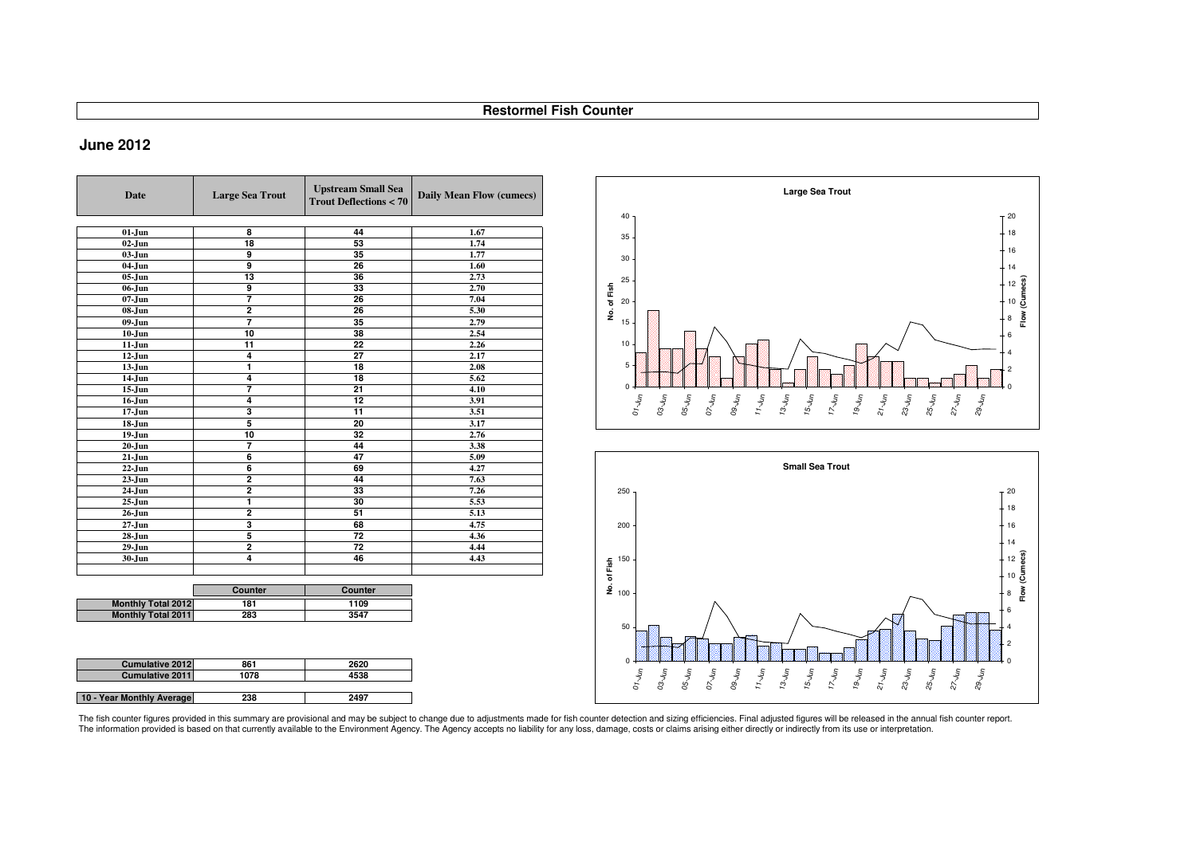# **June 2012**

| <b>Date</b>               | <b>Large Sea Trout</b>  | <b>Upstream Small Sea</b><br><b>Trout Deflections &lt; 70</b> | <b>Daily Mean Flow (cumecs)</b> |
|---------------------------|-------------------------|---------------------------------------------------------------|---------------------------------|
|                           |                         |                                                               |                                 |
| $01 - Jun$                | 8                       | 44                                                            | 1.67                            |
| $02 - Jun$                | 18                      | 53                                                            | 1.74                            |
| $03-J$ un                 | 9                       | 35                                                            | 1.77                            |
| $04-J$ un                 | $\overline{9}$          | 26                                                            | 1.60                            |
| $05-J$ un                 | 13                      | 36                                                            | 2.73                            |
| 06-Jun                    | $\overline{9}$          | 33                                                            | 2.70                            |
| $07 - Jun$                | 7                       | 26                                                            | 7.04                            |
| 08-Jun                    | $\overline{2}$          | 26                                                            | 5.30                            |
| 09-Jun                    | 7                       | 35                                                            | 2.79                            |
| $10 - Jun$                | 10                      | 38                                                            | 2.54                            |
| $11-J$ un                 | 11                      | 22                                                            | 2.26                            |
| $12$ -Jun                 | 4                       | 27                                                            | 2.17                            |
| $13-Jun$                  | 1                       | 18                                                            | 2.08                            |
| 14-Jun                    | 4                       | 18                                                            | 5.62                            |
| $15 - Jun$                | 7                       | 21                                                            | 4.10                            |
| $16$ -Jun                 | 4                       | 12                                                            | 3.91                            |
| $17 - Jun$                | 3                       | 11                                                            | 3.51                            |
| $18 - Jun$                | 5                       | 20                                                            | 3.17                            |
| $19 - Jun$                | 10                      | 32                                                            | 2.76                            |
| $20 - Jun$                | 7                       | 44                                                            | 3.38                            |
| $21 - Jun$                | $\overline{6}$          | 47                                                            | 5.09                            |
| $22-Jun$                  | 6                       | 69                                                            | 4.27                            |
| $23$ -Jun                 | $\overline{2}$          | 44                                                            | 7.63                            |
| 24-Jun                    | $\overline{\mathbf{2}}$ | 33                                                            | 7.26                            |
| $25 - Jun$                | 1                       | 30                                                            | 5.53                            |
| $26 - Jun$                | $\overline{2}$          | 51                                                            | 5.13                            |
| $27 - Jun$                | 3                       | 68                                                            | 4.75                            |
| 28-Jun                    | 5                       | $\overline{72}$                                               | 4.36                            |
| $29 - Jun$                | $\overline{2}$          | $\overline{72}$                                               | 4,44                            |
| 30-Jun                    | 4                       | 46                                                            | 4.43                            |
|                           |                         |                                                               |                                 |
|                           |                         |                                                               |                                 |
|                           | Counter                 | Counter                                                       |                                 |
| <b>Monthly Total 2012</b> | 181                     | 1109                                                          |                                 |
| <b>Monthly Total 2011</b> | 283                     | 3547                                                          |                                 |
|                           |                         |                                                               |                                 |

| <b>Cumulative 2012</b>    | 861  | 2620 |
|---------------------------|------|------|
| <b>Cumulative 2011</b>    | 1078 | 4538 |
|                           |      |      |
| 10 - Year Monthly Average | 238  | 2497 |



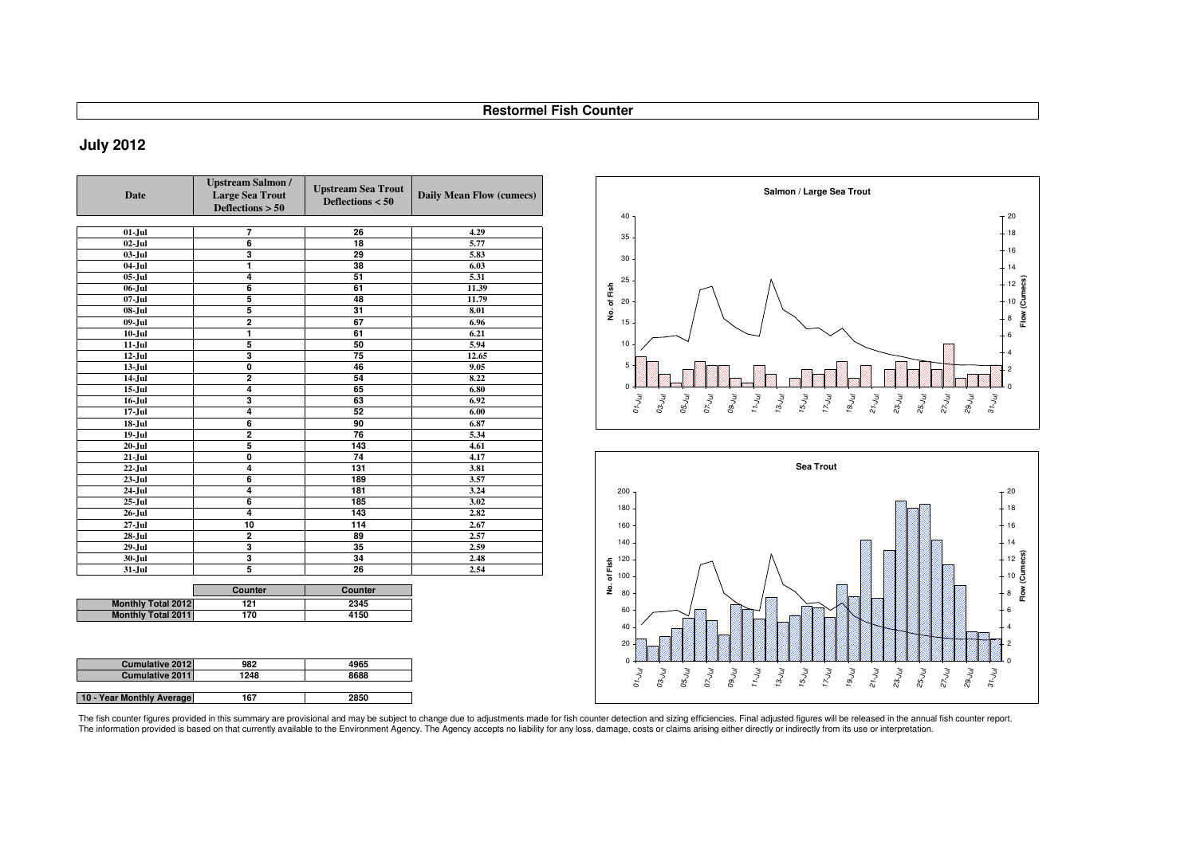# **July 2012**

| <b>Date</b>               | <b>Upstream Salmon /</b><br><b>Large Sea Trout</b><br>Deflections $> 50$ | <b>Upstream Sea Trout</b><br>Deflections $< 50$ | Daily Mean Flow (cumecs) |  |
|---------------------------|--------------------------------------------------------------------------|-------------------------------------------------|--------------------------|--|
|                           |                                                                          |                                                 |                          |  |
| $01-Jul$                  | 7                                                                        | 26                                              | 4.29                     |  |
| $02$ -Jul                 | $\overline{6}$                                                           | 18                                              | 5.77                     |  |
| $03$ -Jul                 | 3                                                                        | 29                                              | 5.83                     |  |
| $04$ -Jul                 | 1                                                                        | 38                                              | 6.03                     |  |
| $05$ -Jul                 | 4                                                                        | 51                                              | 5.31                     |  |
| $06$ -Jul                 | $\overline{6}$                                                           | 61                                              | 11.39                    |  |
| $07 - Jul$                | 5                                                                        | 48                                              | 11.79                    |  |
| $08 -$ Jul                | 5                                                                        | 31                                              | 8.01                     |  |
| 09-Jul                    | $\overline{2}$                                                           | 67                                              | 6.96                     |  |
| $10 -$ Jul                | 1                                                                        | 61                                              | 6.21                     |  |
| $11 -$ Jul                | $\overline{\mathbf{5}}$                                                  | 50                                              | 5.94                     |  |
| $12$ -Jul                 | 3                                                                        | $\overline{75}$                                 | 12.65                    |  |
| $13 -$ Jul                | $\overline{\mathfrak{o}}$                                                | 46                                              | 9.05                     |  |
| $14-Jul$                  | $\overline{2}$                                                           | 54                                              | 8.22                     |  |
| $15 -$ Jul                | 4                                                                        | 65                                              | 6.80                     |  |
| $16$ -Jul                 | 3                                                                        | 63                                              | 6.92                     |  |
| $17 -$ Jul                | 4                                                                        | 52                                              | 6.00                     |  |
| $18$ -Jul                 | $\overline{6}$                                                           | 90                                              | 6.87                     |  |
| $19 -$ Jul                | $\overline{2}$                                                           | 76                                              | 5.34                     |  |
| $20 -$ Jul                | 5                                                                        | 143                                             | 4.61                     |  |
| $21-Jul$                  | 0                                                                        | 74                                              | 4.17                     |  |
| $22$ -Jul                 | 4                                                                        | 131                                             | 3.81                     |  |
| $23$ -Jul                 | 6                                                                        | 189                                             | 3.57                     |  |
| $24$ -Jul                 | 4                                                                        | 181                                             | 3.24                     |  |
| $25 -$ Jul                | $\overline{6}$                                                           | 185                                             | 3.02                     |  |
| $26$ -Jul                 | 4                                                                        | 143                                             | 2.82                     |  |
| $27 -$ Jul                | 10                                                                       | 114                                             | 2.67                     |  |
| $28 -$ Jul                | $\overline{2}$                                                           | 89                                              | 2.57                     |  |
| $29 -$ Jul                | 3                                                                        | 35                                              | 2.59                     |  |
| $30 -$ Jul                | 3                                                                        | 34                                              | 2.48                     |  |
| $31 -$ Jul                | 5                                                                        | 26                                              | 2.54                     |  |
|                           | Counter                                                                  | Counter                                         |                          |  |
| <b>Monthly Total 2012</b> | 121                                                                      | 2345                                            |                          |  |
|                           |                                                                          |                                                 |                          |  |

| out<br>$\bf{0}$ | Daily Mean Flow (cumecs) |             |          | Salmon / Large Sea Trout                                                                                                                         |                |
|-----------------|--------------------------|-------------|----------|--------------------------------------------------------------------------------------------------------------------------------------------------|----------------|
|                 |                          |             | 40       |                                                                                                                                                  | $+20$          |
|                 | 4.29                     |             | 35       |                                                                                                                                                  | $-18$          |
|                 | 5.77                     |             |          |                                                                                                                                                  |                |
|                 | 5.83                     |             | 30       |                                                                                                                                                  | $-16$          |
|                 | 6.03                     |             |          |                                                                                                                                                  | 14             |
|                 | 5.31                     |             | 25       |                                                                                                                                                  | 12             |
|                 | 11.39                    |             |          |                                                                                                                                                  |                |
|                 | 11.79                    | No. of Fish | 20       |                                                                                                                                                  | (Cumecs)<br>10 |
|                 | 8.01                     |             |          |                                                                                                                                                  | Flow<br>8      |
|                 | 6.96                     |             | 15       |                                                                                                                                                  |                |
|                 | 6.21                     |             | 10       |                                                                                                                                                  | 6              |
|                 | 5.94<br>12.65            |             |          |                                                                                                                                                  |                |
|                 | 9.05                     |             | 5        |                                                                                                                                                  |                |
|                 | 8.22                     |             |          |                                                                                                                                                  | $\overline{c}$ |
|                 | 6.80                     |             | $\Omega$ |                                                                                                                                                  |                |
|                 | 6.92                     |             |          |                                                                                                                                                  |                |
|                 | 6.00                     |             |          | 23-Jul<br>$25 - J_{U}$<br>$07 - U_{U}$<br>09-Jul<br>11-Jul<br>29-Jul<br>$31 - U_{U}$<br>$o_{t\smile tO}$<br>03-Jul<br>05-Jul<br>$13-y$<br>27-Jul |                |
|                 | 6.87                     |             |          |                                                                                                                                                  |                |
|                 | 5.34                     |             |          |                                                                                                                                                  |                |



|                           | counter | Counter |
|---------------------------|---------|---------|
| <b>Monthly Total 2012</b> | 121     | 2345    |
| <b>Monthly Total 2011</b> | 170     | 4150    |
|                           |         |         |
|                           |         |         |

| <b>Cumulative 2012</b>    | 982  | 4965 |
|---------------------------|------|------|
| <b>Cumulative 2011</b>    | 1248 | 8688 |
|                           |      |      |
| 10 - Year Monthly Average | 167  | 2850 |

The fish counter figures provided in this summary are provisional and may be subject to change due to adjustments made for fish counter detection and sizing efficiencies. Final adjusted figures will be released in the annu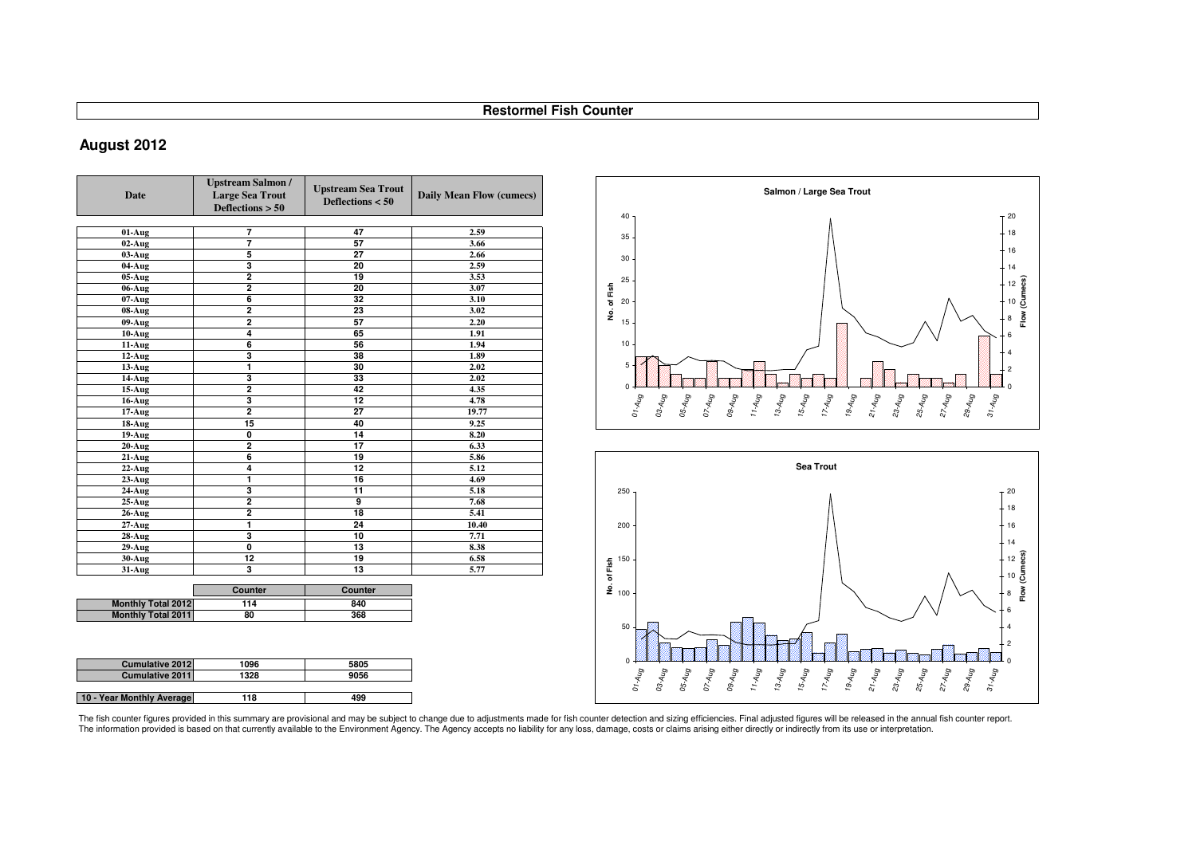# **August 2012**

| Date                      | <b>Upstream Salmon /</b><br><b>Large Sea Trout</b><br>Deflections $> 50$ | <b>Upstream Sea Trout</b><br>Deflections $< 50$ | Daily Mean Flow (cumecs) |
|---------------------------|--------------------------------------------------------------------------|-------------------------------------------------|--------------------------|
|                           |                                                                          |                                                 |                          |
| 01-Aug                    | 7                                                                        | 47                                              | 2.59                     |
| $02$ -Aug                 | 7                                                                        | 57                                              | 3.66                     |
| $03-Aug$                  | 5                                                                        | 27                                              | 2.66                     |
| 04-Aug                    | 3                                                                        | 20                                              | 2.59                     |
| 05-Aug                    | $\overline{2}$                                                           | 19                                              | 3.53                     |
| 06-Aug                    | $\overline{\mathbf{2}}$                                                  | 20                                              | 3.07                     |
| $07 - Aug$                | $\overline{\mathbf{6}}$                                                  | 32                                              | 3.10                     |
| 08-Aug                    | $\overline{\mathbf{2}}$                                                  | 23                                              | 3.02                     |
| 09-Aug                    | $\overline{\mathbf{2}}$                                                  | 57                                              | 2.20                     |
| $10-Aug$                  | 4                                                                        | 65                                              | 1.91                     |
| 11-Aug                    | 6                                                                        | 56                                              | 1.94                     |
| 12-Aug                    | 3                                                                        | 38                                              | 1.89                     |
| 13-Aug                    | 1                                                                        | 30                                              | 2.02                     |
| 14-Aug                    | 3                                                                        | 33                                              | 2.02                     |
| 15-Aug                    | $\overline{2}$                                                           | 42                                              | 4.35                     |
| $16$ -Aug                 | 3                                                                        | 12                                              | 4.78                     |
| $17 - Aug$                | $\overline{2}$                                                           | 27                                              | 19.77                    |
| 18-Aug                    | 15                                                                       | 40                                              | 9.25                     |
| 19-Aug                    | 0                                                                        | 14                                              | 8.20                     |
| $20-Aug$                  | $\overline{\mathbf{2}}$                                                  | 17                                              | 6.33                     |
| $21-Aug$                  | 6                                                                        | 19                                              | 5.86                     |
| $22$ -Aug                 | 4                                                                        | 12                                              | 5.12                     |
| 23-Aug                    | 1                                                                        | 16                                              | 4.69                     |
| 24-Aug                    | 3                                                                        | 11                                              | 5.18                     |
| $25$ -Aug                 | $\overline{\mathbf{2}}$                                                  | $\overline{9}$                                  | 7.68                     |
| <b>26-Aug</b>             | $\overline{\mathbf{2}}$                                                  | 18                                              | 5.41                     |
| $27 - Aug$                | 1                                                                        | 24                                              | 10.40                    |
| 28-Aug                    | 3                                                                        | 10                                              | 7.71                     |
| 29-Aug                    | Ō                                                                        | 13                                              | 8.38                     |
| 30-Aug                    | 12                                                                       | 19                                              | 6.58                     |
| 31-Aug                    | 3                                                                        | 13                                              | 5.77                     |
|                           | Counter                                                                  | Counter                                         |                          |
| <b>Monthly Total 2012</b> | 114                                                                      | 840                                             |                          |
| <b>Monthly Total 2011</b> | 80                                                                       | 368                                             |                          |

| <b>Cumulative 2012</b>    | 1096 | 5805 |
|---------------------------|------|------|
| <b>Cumulative 2011</b>    | 1328 | 9056 |
|                           |      |      |
| 10 - Year Monthly Average | 118  | 499  |



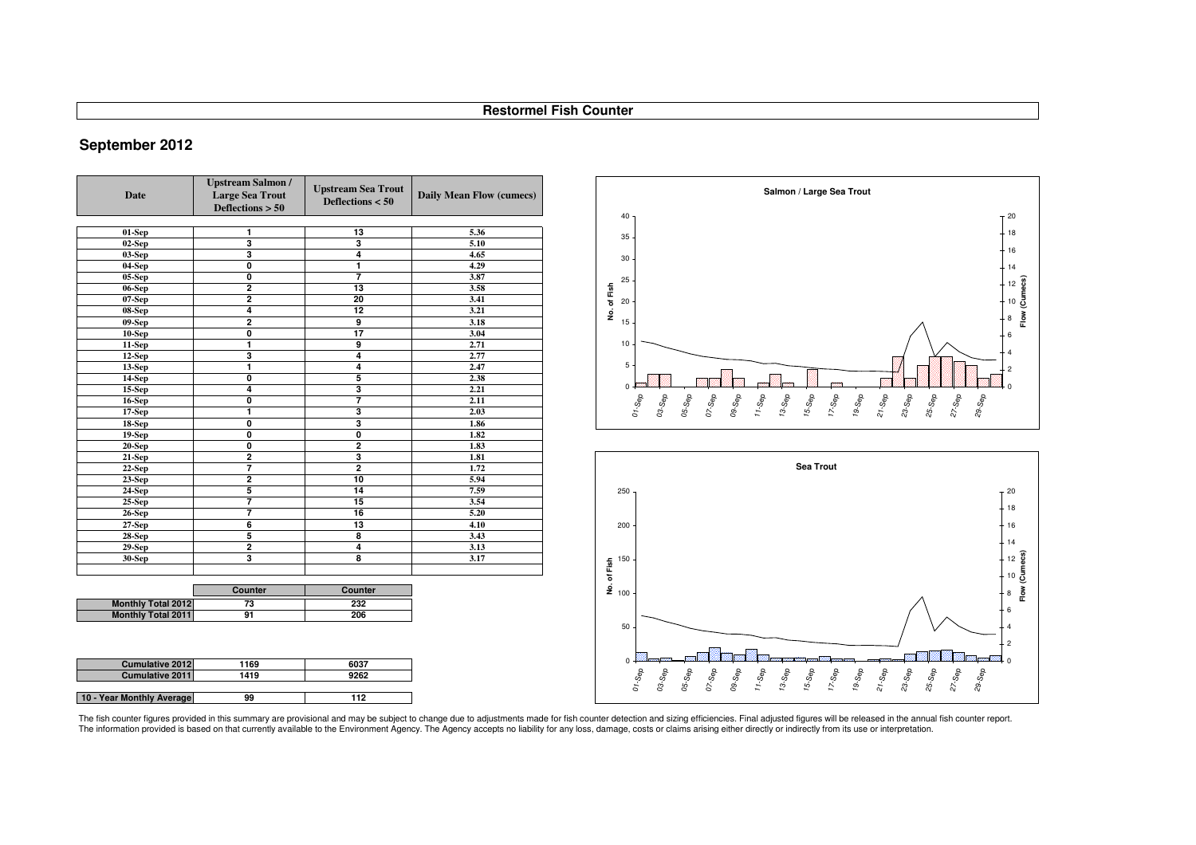# **September 2012**

| <b>Date</b>               | <b>Upstream Salmon /</b><br><b>Large Sea Trout</b><br>Deflections $> 50$ | <b>Upstream Sea Trout</b><br>Deflections $< 50$ | <b>Daily Mean Flow (cumecs)</b> |
|---------------------------|--------------------------------------------------------------------------|-------------------------------------------------|---------------------------------|
|                           |                                                                          |                                                 |                                 |
| $01-Sep$                  | 1                                                                        | 13                                              | 5.36                            |
| $02-Sep$                  | 3                                                                        | 3                                               | 5.10                            |
| $03-Sep$                  | 3                                                                        | 4                                               | 4.65                            |
| 04-Sep                    | $\overline{\mathbf{0}}$                                                  | 1                                               | 4.29                            |
| 05-Sep                    | $\overline{\mathbf{0}}$                                                  | 7                                               | 3.87                            |
| $06-Sep$                  | $\overline{2}$                                                           | 13                                              | 3.58                            |
| 07-Sep                    | $\overline{2}$                                                           | 20                                              | 3.41                            |
| 08-Sep                    | 4                                                                        | 12                                              | 3.21                            |
| $09-Sep$                  | $\overline{2}$                                                           | 9                                               | 3.18                            |
| $10-Sep$                  | $\mathbf 0$                                                              | 17                                              | 3.04                            |
| 11-Sep                    | 1                                                                        | 9                                               | 2.71                            |
| 12-Sep                    | 3                                                                        | 4                                               | 2.77                            |
| $13-Sep$                  | 1                                                                        | 4                                               | 2.47                            |
| 14-Sep                    | $\overline{\mathbf{0}}$                                                  | 5                                               | 2.38                            |
| <b>15-Sep</b>             | 4                                                                        | 3                                               | 2.21                            |
| <b>16-Sep</b>             | $\overline{\mathbf{0}}$                                                  | 7                                               | 2.11                            |
| $17-Sep$                  | 1                                                                        | 3                                               | 2.03                            |
| <b>18-Sep</b>             | $\mathbf 0$                                                              | 3                                               | 1.86                            |
| 19-Sep                    | $\overline{\mathbf{0}}$                                                  | Ō                                               | 1.82                            |
| 20-Sep                    | $\overline{\mathbf{0}}$                                                  | $\overline{2}$                                  | 1.83                            |
| $21-Sep$                  | $\overline{2}$                                                           | 3                                               | 1.81                            |
| $22$ -Sep                 | 7                                                                        | $\overline{2}$                                  | 1.72                            |
| $23-Sep$                  | $\overline{2}$                                                           | 10                                              | 5.94                            |
| 24-Sep                    | 5                                                                        | 14                                              | 7.59                            |
| $25-Sep$                  | 7                                                                        | 15                                              | 3.54                            |
| <b>26-Sep</b>             | 7                                                                        | 16                                              | 5.20                            |
| 27-Sep                    | $\overline{6}$                                                           | 13                                              | 4.10                            |
| <b>28-Sep</b>             | 5                                                                        | 8                                               | 3.43                            |
| $29-Sep$                  | $\overline{2}$                                                           | 4                                               | 3.13                            |
| <b>30-Sep</b>             | 3                                                                        | 8                                               | 3.17                            |
|                           |                                                                          |                                                 |                                 |
|                           | Counter                                                                  | Counter                                         |                                 |
| <b>Monthly Total 2012</b> | 73                                                                       | 232                                             |                                 |
| <b>Monthly Total 2011</b> | 91                                                                       | 206                                             |                                 |

| <b>Cumulative 2012</b>    | 1169 | 6037 |
|---------------------------|------|------|
| <b>Cumulative 2011</b>    | 1419 | 9262 |
|                           |      |      |
| 10 - Year Monthly Average | 99   | 112  |



The fish counter figures provided in this summary are provisional and may be subject to change due to adjustments made for fish counter detection and sizing efficiencies. Final adjusted figures will be released in the annu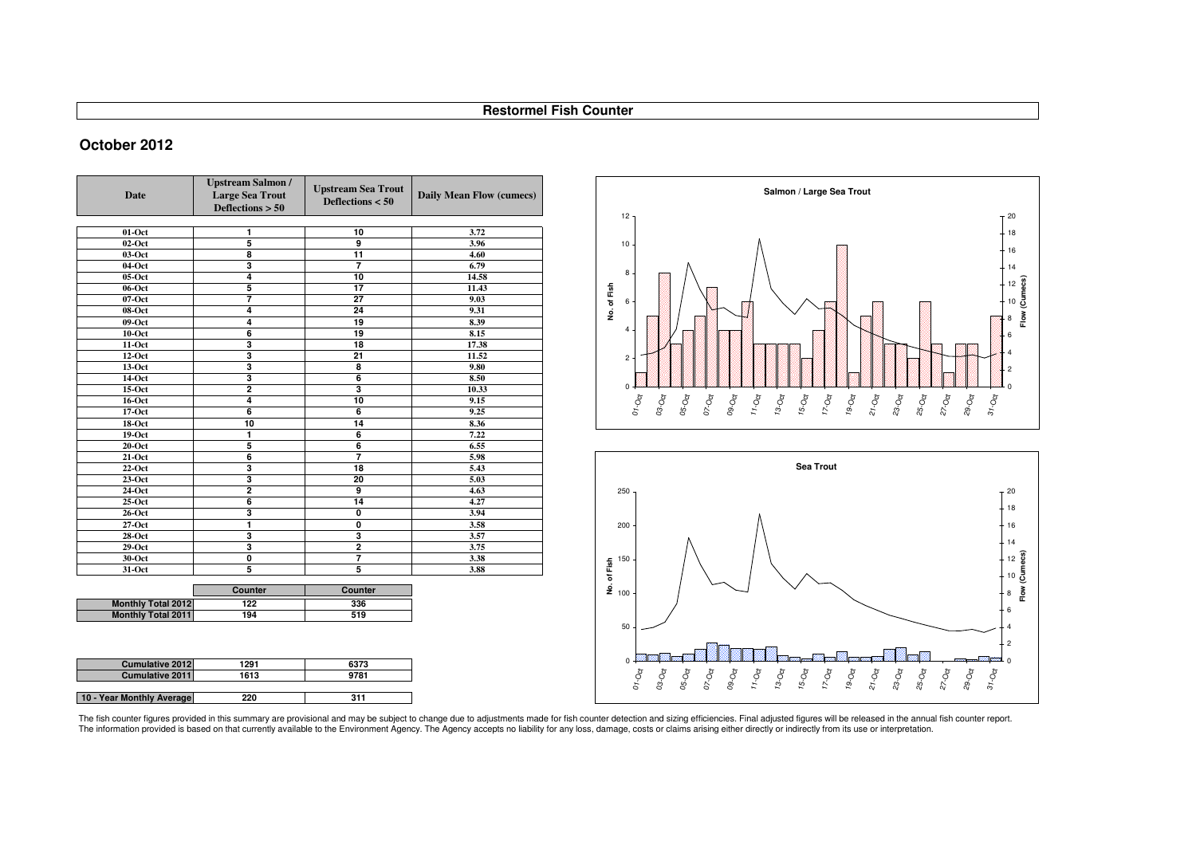### **October 2012**

| Date                      | <b>Upstream Salmon /</b><br><b>Large Sea Trout</b><br>Deflections $> 50$ | <b>Upstream Sea Trout</b><br>Deflections $< 50$ | <b>Daily Mean Flow (cumecs)</b> |
|---------------------------|--------------------------------------------------------------------------|-------------------------------------------------|---------------------------------|
|                           |                                                                          |                                                 |                                 |
| $01$ -Oct                 | 1                                                                        | 10                                              | 3.72                            |
| $02-Oct$                  | 5                                                                        | 9                                               | 3.96                            |
| 03-Oct                    | 8                                                                        | 11                                              | 4.60                            |
| 04-Oct                    | $\overline{\mathbf{3}}$                                                  | $\overline{7}$                                  | 6.79                            |
| $05-Oct$                  | $\overline{4}$                                                           | 10                                              | 14.58                           |
| 06-Oct                    | 5                                                                        | $\overline{17}$                                 | 11.43                           |
| $07$ -Oct                 | 7                                                                        | $\overline{27}$                                 | 9.03                            |
| 08-Oct                    | 4                                                                        | 24                                              | 9.31                            |
| $09-Oct$                  | 4                                                                        | 19                                              | 8.39                            |
| $10$ -Oct                 | 6                                                                        | 19                                              | 8.15                            |
| $11-Oct$                  | 3                                                                        | 18                                              | 17.38                           |
| $12-Oct$                  | 3                                                                        | 21                                              | 11.52                           |
| $13-Oct$                  | 3                                                                        | 8                                               | 9.80                            |
| 14-Oct                    | 3                                                                        | $\overline{6}$                                  | 8.50                            |
| $15-Oct$                  | $\overline{2}$                                                           | 3                                               | 10.33                           |
| 16-Oct                    | 4                                                                        | 10                                              | 9.15                            |
| $17-Oct$                  | 6                                                                        | 6                                               | 9.25                            |
| 18-Oct                    | 10                                                                       | 14                                              | 8.36                            |
| 19-Oct                    | 1                                                                        | 6                                               | 7.22                            |
| $20$ -Oct                 | 5                                                                        | 6                                               | 6.55                            |
| $21-Oct$                  | 6                                                                        | $\overline{7}$                                  | 5.98                            |
| $22-Oct$                  | 3                                                                        | 18                                              | 5.43                            |
| $23-Oct$                  | 3                                                                        | 20                                              | 5.03                            |
| 24-Oct                    | $\overline{2}$                                                           | 9                                               | 4.63                            |
| $25-Oct$                  | 6                                                                        | 14                                              | 4.27                            |
| $26$ -Oct                 | 3                                                                        | 0                                               | 3.94                            |
| $27-Oct$                  | 1                                                                        | Ō                                               | 3.58                            |
| $28$ -Oct                 | 3                                                                        | 3                                               | 3.57                            |
| $29-Oct$                  | 3                                                                        | $\overline{2}$                                  | 3.75                            |
| 30-Oct                    | $\mathbf 0$                                                              | 7                                               | 3.38                            |
| 31-Oct                    | 5                                                                        | 5                                               | 3.88                            |
|                           | Counter                                                                  | Counter                                         |                                 |
| <b>Monthly Total 2012</b> | 122                                                                      | 336                                             |                                 |
| <b>Monthly Total 2011</b> | 194                                                                      | 519                                             |                                 |

| <b>Cumulative 2012</b>    | 1291 | 6373 |
|---------------------------|------|------|
| <b>Cumulative 2011</b>    | 1613 | 9781 |
|                           |      |      |
| 10 - Year Monthly Average | 220  | 311  |





The fish counter figures provided in this summary are provisional and may be subject to change due to adjustments made for fish counter detection and sizing efficiencies. Final adjusted figures will be released in the annu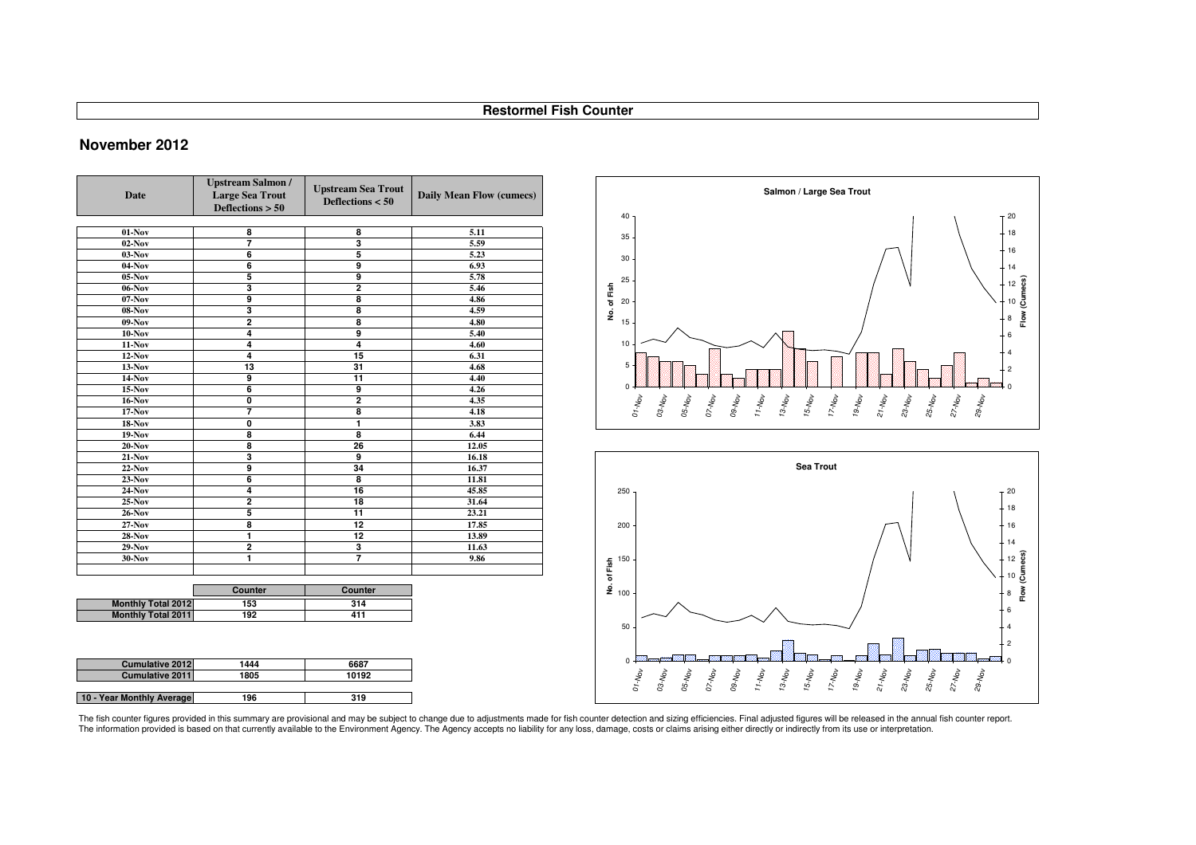### **November 2012**

| <b>Date</b>               | <b>Upstream Salmon /</b><br><b>Large Sea Trout</b><br>Deflections $> 50$ | <b>Upstream Sea Trout</b><br>Deflections $< 50$ | Daily Mean Flow (cumecs) |
|---------------------------|--------------------------------------------------------------------------|-------------------------------------------------|--------------------------|
|                           |                                                                          |                                                 |                          |
| $01-Nov$                  | 8                                                                        | 8                                               | 5.11                     |
| $02$ -Nov                 | 7                                                                        | 3                                               | 5.59                     |
| $03-Nov$                  | $\overline{6}$                                                           | 5                                               | 5.23                     |
| $04$ -Nov                 | 6                                                                        | $\overline{9}$                                  | 6.93                     |
| $05-Nov$                  | 5                                                                        | 9                                               | 5.78                     |
| $06-Nov$                  | 3                                                                        | $\overline{2}$                                  | 5.46                     |
| $07-Nov$                  | 9                                                                        | 8                                               | 4.86                     |
| $08-Nov$                  | 3                                                                        | $\overline{\mathbf{8}}$                         | 4.59                     |
| $09-Nov$                  | $\overline{2}$                                                           | $\overline{\mathbf{8}}$                         | 4.80                     |
| $10-Nov$                  | 4                                                                        | $\overline{9}$                                  | 5.40                     |
| $11-Nov$                  | 4                                                                        | $\overline{4}$                                  | 4.60                     |
| $12-Nov$                  | 4                                                                        | 15                                              | 6.31                     |
| $13-Nov$                  | 13                                                                       | 31                                              | 4.68                     |
| 14-Nov                    | 9                                                                        | 11                                              | 4.40                     |
| $15-Nov$                  | 6                                                                        | $\overline{9}$                                  | 4.26                     |
| $16-Nov$                  | O                                                                        | $\overline{2}$                                  | 4.35                     |
| $17-Nov$                  | 7                                                                        | 8                                               | 4.18                     |
| $18-Nov$                  | 0                                                                        | 1                                               | 3.83                     |
| $19-Nov$                  | 8                                                                        | 8                                               | 6.44                     |
| $20-Nov$                  | 8                                                                        | 26                                              | 12.05                    |
| <b>21-Nov</b>             | 3                                                                        | 9                                               | 16.18                    |
| $22-Nov$                  | 9                                                                        | 34                                              | 16.37                    |
| $23$ -Nov                 | 6                                                                        | 8                                               | 11.81                    |
| 24-Nov                    | 4                                                                        | 16                                              | 45.85                    |
| $25-Nov$                  | $\overline{2}$                                                           | 18                                              | 31.64                    |
| <b>26-Nov</b>             | 5                                                                        | $\overline{11}$                                 | 23.21                    |
| 27-Nov                    | 8                                                                        | $\overline{12}$                                 | 17.85                    |
| <b>28-Nov</b>             | 1                                                                        | 12                                              | 13.89                    |
| $29-Nov$                  | $\overline{2}$                                                           | 3                                               | 11.63                    |
| 30-Nov                    | 1                                                                        | $\overline{7}$                                  | 9.86                     |
|                           |                                                                          |                                                 |                          |
|                           |                                                                          |                                                 |                          |
|                           | Counter                                                                  | Counter                                         |                          |
| <b>Monthly Total 2012</b> | 153                                                                      | 314                                             |                          |
| <b>Monthly Total 2011</b> | 192                                                                      | 411                                             |                          |
|                           |                                                                          |                                                 |                          |

| <b>Cumulative 2012</b>    | 1444 | 6687  |
|---------------------------|------|-------|
| <b>Cumulative 2011</b>    | 1805 | 10192 |
|                           |      |       |
| 10 - Year Monthly Average | 196  | 319   |



The fish counter figures provided in this summary are provisional and may be subject to change due to adjustments made for fish counter detection and sizing efficiencies. Final adjusted figures will be released in the annu